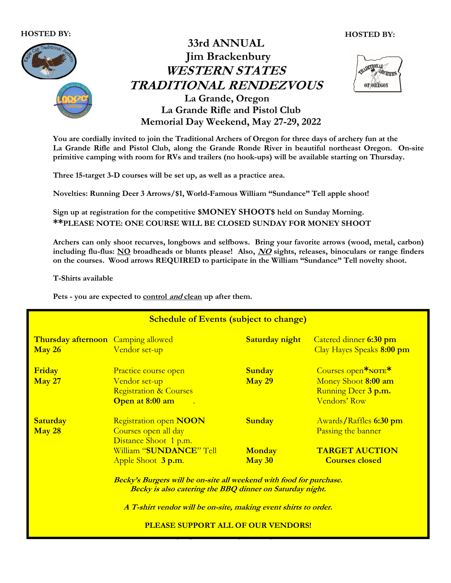#### HOSTED BY:





You are cordially invited to join the Traditional Archers of Oregon for three days of archery fun at the La Grande Rifle and Pistol Club, along the Grande Ronde River in beautiful northeast Oregon. On-site primitive camping with room for RVs and trailers (no hook-ups) will be available starting on Thursday.

Three 15-target 3-D courses will be set up, as well as a practice area.

Novelties: Running Deer 3 Arrows/\$1, World-Famous William "Sundance" Tell apple shoot!

Sign up at registration for the competitive \$MONEY SHOOT\$ held on Sunday Morning. \*\*PLEASE NOTE: ONE COURSE WILL BE CLOSED SUNDAY FOR MONEY SHOOT

Archers can only shoot recurves, longbows and selfbows. Bring your favorite arrows (wood, metal, carbon) including flu-flus: NO broadheads or blunts please! Also, NO sights, releases, binoculars or range finders on the courses. Wood arrows REQUIRED to participate in the William "Sundance" Tell novelty shoot.

T-Shirts available

Pets - you are expected to control and clean up after them.

| <b>Schedule of Events (subject to change)</b>                              |                                                                                                                                                                                                                                                                                                                                 |                                |                                                                                                           |
|----------------------------------------------------------------------------|---------------------------------------------------------------------------------------------------------------------------------------------------------------------------------------------------------------------------------------------------------------------------------------------------------------------------------|--------------------------------|-----------------------------------------------------------------------------------------------------------|
| Thursday afternoon Camping allowed<br>$\frac{\text{May }26}{\text{My }26}$ | Vendor set-up                                                                                                                                                                                                                                                                                                                   | <b>Saturday night</b>          | Catered dinner 6:30 pm<br>Clay Hayes Speaks 8:00 pm                                                       |
| Friday<br><b>May 27</b>                                                    | Practice course open<br>Vendor set-up<br><b>Registration &amp; Courses</b><br>Open at 8:00 am<br>$\mathbb{R}^n$                                                                                                                                                                                                                 | <b>Sunday</b><br><b>May 29</b> | Courses open <sup>*</sup> NOTE <sup>*</sup><br>Money Shoot 8:00 am<br>Running Deer 3 p.m.<br>Vendors' Row |
| <b>Saturday</b><br>$\frac{\text{May }28}{\text{My }28}$                    | <b>Registration open NOON</b><br>Courses open all day<br>Distance Shoot 1 p.m.<br>William "SUNDANCE" Tell                                                                                                                                                                                                                       | <b>Sunday</b><br><b>Monday</b> | Awards/Raffles 6:30 pm<br>Passing the banner<br><b>TARGET AUCTION</b>                                     |
|                                                                            | $\frac{\text{May }30}{\text{My }30}$<br>Apple Shoot 3 p.m.<br><b>Courses closed</b><br>Becky's Burgers will be on-site all weekend with food for purchase.<br>Becky is also catering the BBQ dinner on Saturday night.<br>A T-shirt vendor will be on-site, making event shirts to order.<br>PLEASE SUPPORT ALL OF OUR VENDORS! |                                |                                                                                                           |